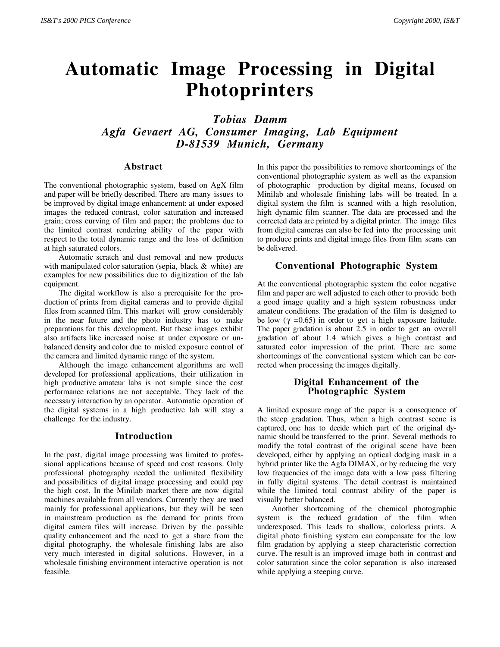# **Automatic Image Processing in Digital Photoprinters**

*Tobias Damm Agfa Gevaert AG, Consumer Imaging, Lab Equipment D-81539 Munich, Germany*

#### **Abstract**

The conventional photographic system, based on AgX film and paper will be briefly described. There are many issues to be improved by digital image enhancement: at under exposed images the reduced contrast, color saturation and increased grain; cross curving of film and paper; the problems due to the limited contrast rendering ability of the paper with respect to the total dynamic range and the loss of definition at high saturated colors.

Automatic scratch and dust removal and new products with manipulated color saturation (sepia, black & white) are examples for new possibilities due to digitization of the lab equipment.

The digital workflow is also a prerequisite for the production of prints from digital cameras and to provide digital files from scanned film. This market will grow considerably in the near future and the photo industry has to make preparations for this development. But these images exhibit also artifacts like increased noise at under exposure or unbalanced density and color due to misled exposure control of the camera and limited dynamic range of the system.

Although the image enhancement algorithms are well developed for professional applications, their utilization in high productive amateur labs is not simple since the cost performance relations are not acceptable. They lack of the necessary interaction by an operator. Automatic operation of the digital systems in a high productive lab will stay a challenge for the industry.

#### **Introduction**

In the past, digital image processing was limited to professional applications because of speed and cost reasons. Only professional photography needed the unlimited flexibility and possibilities of digital image processing and could pay the high cost. In the Minilab market there are now digital machines available from all vendors. Currently they are used mainly for professional applications, but they will be seen in mainstream production as the demand for prints from digital camera files will increase. Driven by the possible quality enhancement and the need to get a share from the digital photography, the wholesale finishing labs are also very much interested in digital solutions. However, in a wholesale finishing environment interactive operation is not feasible. *7ISA PRO CONSULTER Controls and the Conference Consumer Controls and The Consumer Processing in Digital Photoprince Processing Consumer Integrals, Lab Equipment 2000<br>
<i>Agla Gereert AG*, Consumer Imaging, Lab Equipment

In this paper the possibilities to remove shortcomings of the conventional photographic system as well as the expansion of photographic production by digital means, focused on Minilab and wholesale finishing labs will be treated. In a digital system the film is scanned with a high resolution, high dynamic film scanner. The data are processed and the corrected data are printed by a digital printer. The image files from digital cameras can also be fed into the processing unit to produce prints and digital image files from film scans can be delivered.

#### **Conventional Photographic System**

At the conventional photographic system the color negative film and paper are well adjusted to each other to provide both a good image quality and a high system robustness under amateur conditions. The gradation of the film is designed to be low ( $\gamma$  =0.65) in order to get a high exposure latitude. The paper gradation is about 2.5 in order to get an overall gradation of about 1.4 which gives a high contrast and saturated color impression of the print. There are some shortcomings of the conventional system which can be corrected when processing the images digitally.

#### **Digital Enhancement of the Photographic System**

A limited exposure range of the paper is a consequence of the steep gradation. Thus, when a high contrast scene is captured, one has to decide which part of the original dynamic should be transferred to the print. Several methods to modify the total contrast of the original scene have been developed, either by applying an optical dodging mask in a hybrid printer like the Agfa DIMAX, or by reducing the very low frequencies of the image data with a low pass filtering in fully digital systems. The detail contrast is maintained while the limited total contrast ability of the paper is visually better balanced.

Another shortcoming of the chemical photographic system is the reduced gradation of the film when underexposed. This leads to shallow, colorless prints. A digital photo finishing system can compensate for the low film gradation by applying a steep characteristic correction curve. The result is an improved image both in contrast and color saturation since the color separation is also increased while applying a steeping curve.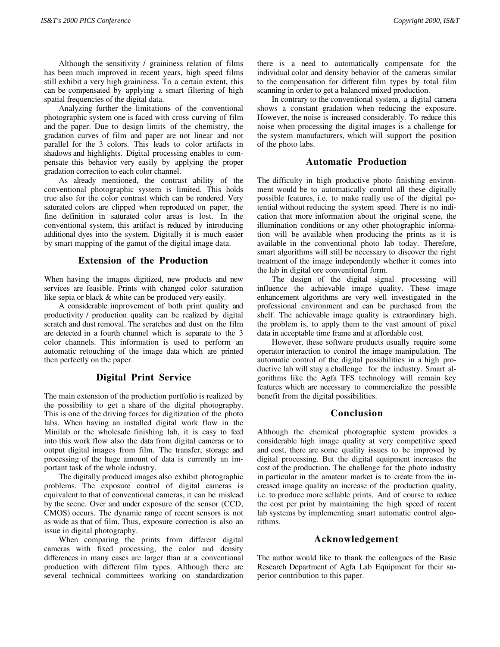Although the sensitivity / graininess relation of films has been much improved in recent years, high speed films still exhibit a very high graininess. To a certain extent, this can be compensated by applying a smart filtering of high spatial frequencies of the digital data.

Analyzing further the limitations of the conventional photographic system one is faced with cross curving of film and the paper. Due to design limits of the chemistry, the gradation curves of film and paper are not linear and not parallel for the 3 colors. This leads to color artifacts in shadows and highlights. Digital processing enables to compensate this behavior very easily by applying the proper gradation correction to each color channel.

As already mentioned, the contrast ability of the conventional photographic system is limited. This holds true also for the color contrast which can be rendered. Very saturated colors are clipped when reproduced on paper, the fine definition in saturated color areas is lost. In the conventional system, this artifact is reduced by introducing additional dyes into the system. Digitally it is much easier by smart mapping of the gamut of the digital image data.

# **Extension of the Production**

When having the images digitized, new products and new services are feasible. Prints with changed color saturation like sepia or black & white can be produced very easily.

A considerable improvement of both print quality and productivity / production quality can be realized by digital scratch and dust removal. The scratches and dust on the film are detected in a fourth channel which is separate to the 3 color channels. This information is used to perform an automatic retouching of the image data which are printed then perfectly on the paper.

# **Digital Print Service**

The main extension of the production portfolio is realized by the possibility to get a share of the digital photography. This is one of the driving forces for digitization of the photo labs. When having an installed digital work flow in the Minilab or the wholesale finishing lab, it is easy to feed into this work flow also the data from digital cameras or to output digital images from film. The transfer, storage and processing of the huge amount of data is currently an important task of the whole industry.

The digitally produced images also exhibit photographic problems. The exposure control of digital cameras is equivalent to that of conventional cameras, it can be mislead by the scene. Over and under exposure of the sensor (CCD, CMOS) occurs. The dynamic range of recent sensors is not as wide as that of film. Thus, exposure correction is also an issue in digital photography.

When comparing the prints from different digital cameras with fixed processing, the color and density differences in many cases are larger than at a conventional production with different film types. Although there are several technical committees working on standardization there is a need to automatically compensate for the individual color and density behavior of the cameras similar to the compensation for different film types by total film scanning in order to get a balanced mixed production.

In contrary to the conventional system, a digital camera shows a constant gradation when reducing the exposure. However, the noise is increased considerably. To reduce this noise when processing the digital images is a challenge for the system manufacturers, which will support the position of the photo labs.

#### **Automatic Production**

The difficulty in high productive photo finishing environment would be to automatically control all these digitally possible features, i.e. to make really use of the digital potential without reducing the system speed. There is no indication that more information about the original scene, the illumination conditions or any other photographic information will be available when producing the prints as it is available in the conventional photo lab today. Therefore, smart algorithms will still be necessary to discover the right treatment of the image independently whether it comes into the lab in digital ore conventional form.

The design of the digital signal processing will influence the achievable image quality. These image enhancement algorithms are very well investigated in the professional environment and can be purchased from the shelf. The achievable image quality is extraordinary high, the problem is, to apply them to the vast amount of pixel data in acceptable time frame and at affordable cost.

However, these software products usually require some operator interaction to control the image manipulation. The automatic control of the digital possibilities in a high productive lab will stay a challenge for the industry. Smart algorithms like the Agfa TFS technology will remain key features which are necessary to commercialize the possible benefit from the digital possibilities.

# **Conclusion**

Although the chemical photographic system provides a considerable high image quality at very competitive speed and cost, there are some quality issues to be improved by digital processing. But the digital equipment increases the cost of the production. The challenge for the photo industry in particular in the amateur market is to create from the increased image quality an increase of the production quality, i.e. to produce more sellable prints. And of course to reduce the cost per print by maintaining the high speed of recent lab systems by implementing smart automatic control algorithms. *BATY* 200 *PIG* Contents.<br>
Allocado do seculo do seculo do seculo do seculo do seculo do seculo do seculo do seculo do seculo do seculo do seculo do seculo do seculo do seculo do seculo do seculo do seculo do seculo do se

# **Acknowledgement**

The author would like to thank the colleagues of the Basic Research Department of Agfa Lab Equipment for their superior contribution to this paper.